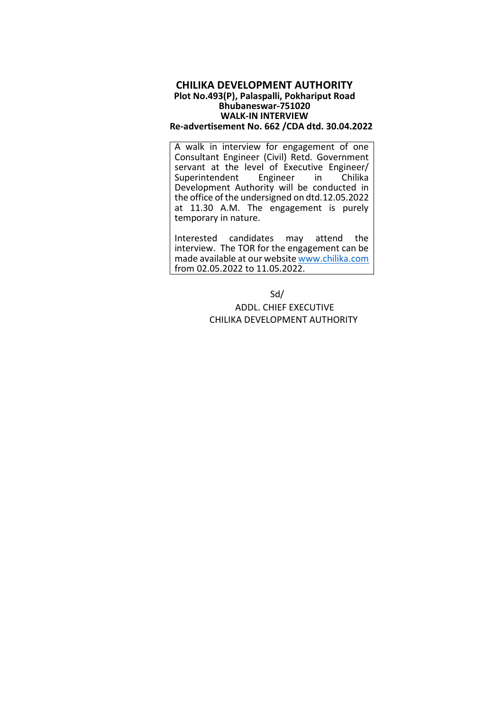## **CHILIKA DEVELOPMENT AUTHORITY Plot No.493(P), Palaspalli, Pokhariput Road Bhubaneswar-751020 WALK-IN INTERVIEW Re-advertisement No. 662 /CDA dtd. 30.04.2022**

A walk in interview for engagement of one Consultant Engineer (Civil) Retd. Government servant at the level of Executive Engineer/<br>Superintendent Engineer in Chilika Superintendent Development Authority will be conducted in the office of the undersigned on dtd.12.05.2022 at 11.30 A.M. The engagement is purely temporary in nature.

Interested candidates may attend the interview. The TOR for the engagement can be made available at our website [www.chilika.com](http://www.chilika.com/) from 02.05.2022 to 11.05.2022.

> Sd/ ADDL. CHIEF EXECUTIVE CHILIKA DEVELOPMENT AUTHORITY